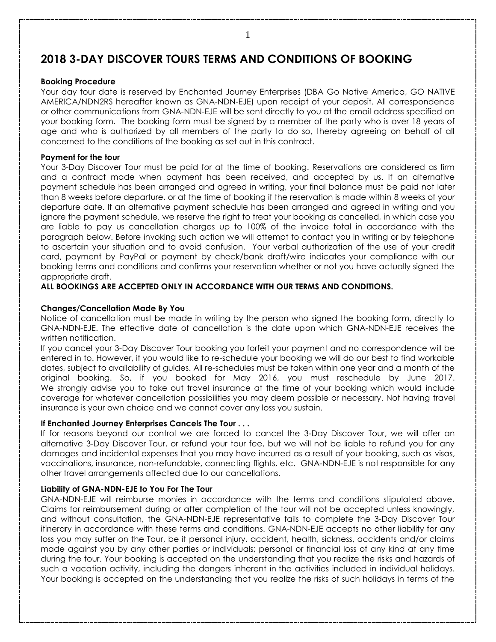# **2018 3-DAY DISCOVER TOURS TERMS AND CONDITIONS OF BOOKING**

#### **Booking Procedure**

Your day tour date is reserved by Enchanted Journey Enterprises (DBA Go Native America, GO NATIVE AMERICA/NDN2RS hereafter known as GNA-NDN-EJE) upon receipt of your deposit. All correspondence or other communications from GNA-NDN-EJE will be sent directly to you at the email address specified on your booking form. The booking form must be signed by a member of the party who is over 18 years of age and who is authorized by all members of the party to do so, thereby agreeing on behalf of all concerned to the conditions of the booking as set out in this contract.

## **Payment for the tour**

Your 3-Day Discover Tour must be paid for at the time of booking. Reservations are considered as firm and a contract made when payment has been received, and accepted by us. If an alternative payment schedule has been arranged and agreed in writing, your final balance must be paid not later than 8 weeks before departure, or at the time of booking if the reservation is made within 8 weeks of your departure date. If an alternative payment schedule has been arranged and agreed in writing and you ignore the payment schedule, we reserve the right to treat your booking as cancelled, in which case you are liable to pay us cancellation charges up to 100% of the invoice total in accordance with the paragraph below. Before invoking such action we will attempt to contact you in writing or by telephone to ascertain your situation and to avoid confusion. Your verbal authorization of the use of your credit card, payment by PayPal or payment by check/bank draft/wire indicates your compliance with our booking terms and conditions and confirms your reservation whether or not you have actually signed the appropriate draft.

# **ALL BOOKINGS ARE ACCEPTED ONLY IN ACCORDANCE WITH OUR TERMS AND CONDITIONS.**

## **Changes/Cancellation Made By You**

Notice of cancellation must be made in writing by the person who signed the booking form, directly to GNA-NDN-EJE. The effective date of cancellation is the date upon which GNA-NDN-EJE receives the written notification.

If you cancel your 3-Day Discover Tour booking you forfeit your payment and no correspondence will be entered in to. However, if you would like to re-schedule your booking we will do our best to find workable dates, subject to availability of guides. All re-schedules must be taken within one year and a month of the original booking. So, if you booked for May 2016, you must reschedule by June 2017. We strongly advise you to take out travel insurance at the time of your booking which would include coverage for whatever cancellation possibilities you may deem possible or necessary. Not having travel insurance is your own choice and we cannot cover any loss you sustain.

# **If Enchanted Journey Enterprises Cancels The Tour . . .**

If for reasons beyond our control we are forced to cancel the 3-Day Discover Tour, we will offer an alternative 3-Day Discover Tour, or refund your tour fee, but we will not be liable to refund you for any damages and incidental expenses that you may have incurred as a result of your booking, such as visas, vaccinations, insurance, non-refundable, connecting flights, etc. GNA-NDN-EJE is not responsible for any other travel arrangements affected due to our cancellations.

# **Liability of GNA-NDN-EJE to You For The Tour**

GNA-NDN-EJE will reimburse monies in accordance with the terms and conditions stipulated above. Claims for reimbursement during or after completion of the tour will not be accepted unless knowingly, and without consultation, the GNA-NDN-EJE representative fails to complete the 3-Day Discover Tour itinerary in accordance with these terms and conditions. GNA-NDN-EJE accepts no other liability for any loss you may suffer on the Tour, be it personal injury, accident, health, sickness, accidents and/or claims made against you by any other parties or individuals; personal or financial loss of any kind at any time during the tour. Your booking is accepted on the understanding that you realize the risks and hazards of such a vacation activity, including the dangers inherent in the activities included in individual holidays. Your booking is accepted on the understanding that you realize the risks of such holidays in terms of the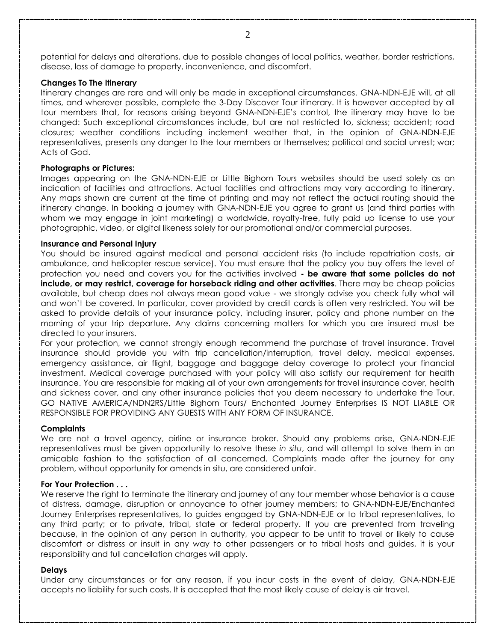potential for delays and alterations, due to possible changes of local politics, weather, border restrictions, disease, loss of damage to property, inconvenience, and discomfort.

#### **Changes To The Itinerary**

Itinerary changes are rare and will only be made in exceptional circumstances. GNA-NDN-EJE will, at all times, and wherever possible, complete the 3-Day Discover Tour itinerary. It is however accepted by all tour members that, for reasons arising beyond GNA-NDN-EJE's control, the itinerary may have to be changed: Such exceptional circumstances include, but are not restricted to, sickness; accident; road closures; weather conditions including inclement weather that, in the opinion of GNA-NDN-EJE representatives, presents any danger to the tour members or themselves; political and social unrest; war; Acts of God.

## **Photographs or Pictures:**

Images appearing on the GNA-NDN-EJE or Little Bighorn Tours websites should be used solely as an indication of facilities and attractions. Actual facilities and attractions may vary according to itinerary. Any maps shown are current at the time of printing and may not reflect the actual routing should the itinerary change. In booking a journey with GNA-NDN-EJE you agree to grant us (and third parties with whom we may engage in joint marketing) a worldwide, royalty-free, fully paid up license to use your photographic, video, or digital likeness solely for our promotional and/or commercial purposes.

## **Insurance and Personal Injury**

You should be insured against medical and personal accident risks (to include repatriation costs, air ambulance, and helicopter rescue service). You must ensure that the policy you buy offers the level of protection you need and covers you for the activities involved **- be aware that some policies do not include, or may restrict, coverage for horseback riding and other activities**. There may be cheap policies available, but cheap does not always mean good value - we strongly advise you check fully what will and won't be covered. In particular, cover provided by credit cards is often very restricted. You will be asked to provide details of your insurance policy, including insurer, policy and phone number on the morning of your trip departure. Any claims concerning matters for which you are insured must be directed to your insurers.

For your protection, we cannot strongly enough recommend the purchase of travel insurance. Travel insurance should provide you with trip cancellation/interruption, travel delay, medical expenses, emergency assistance, air flight, baggage and baggage delay coverage to protect your financial investment. Medical coverage purchased with your policy will also satisfy our requirement for health insurance. You are responsible for making all of your own arrangements for travel insurance cover, health and sickness cover, and any other insurance policies that you deem necessary to undertake the Tour. GO NATIVE AMERICA/NDN2RS/Little Bighorn Tours/ Enchanted Journey Enterprises IS NOT LIABLE OR RESPONSIBLE FOR PROVIDING ANY GUESTS WITH ANY FORM OF INSURANCE.

#### **Complaints**

We are not a travel agency, airline or insurance broker. Should any problems arise, GNA-NDN-EJE representatives must be given opportunity to resolve these *in situ*, and will attempt to solve them in an amicable fashion to the satisfaction of all concerned. Complaints made after the journey for any problem, without opportunity for amends in situ, are considered unfair.

### **For Your Protection . . .**

We reserve the right to terminate the itinerary and journey of any tour member whose behavior is a cause of distress, damage, disruption or annoyance to other journey members; to GNA-NDN-EJE/Enchanted Journey Enterprises representatives, to guides engaged by GNA-NDN-EJE or to tribal representatives, to any third party; or to private, tribal, state or federal property. If you are prevented from traveling because, in the opinion of any person in authority, you appear to be unfit to travel or likely to cause discomfort or distress or insult in any way to other passengers or to tribal hosts and guides, it is your responsibility and full cancellation charges will apply.

#### **Delays**

Under any circumstances or for any reason, if you incur costs in the event of delay, GNA-NDN-EJE accepts no liability for such costs. It is accepted that the most likely cause of delay is air travel.